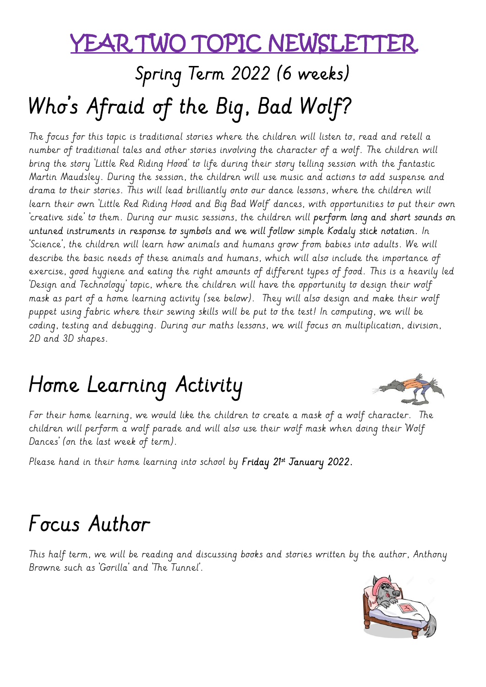### YEAR TWO TOPIC NEWSLETT

# Spring Term 2022 (6 weeks) Who's Afraid of the Big, Bad Wolf?

The focus for this topic is traditional stories where the children will listen to, read and retell a number of traditional tales and other stories involving the character of a wolf. The children will bring the story 'Little Red Riding Hood' to life during their story telling session with the fantastic Martin Maudsley. During the session, the children will use music and actions to add suspense and drama to their stories. This will lead brilliantly onto our dance lessons, where the children will learn their own 'Little Red Riding Hood and Big Bad Wolf' dances, with opportunities to put their own 'creative side' to them. During our music sessions, the children will **perform long and short sounds on untuned instruments in response to symbols and we will follow simple Kodaly stick notation.** In 'Science', the children will learn how animals and humans grow from babies into adults. We will describe the basic needs of these animals and humans, which will also include the importance of exercise, good hygiene and eating the right amounts of different types of food. This is a heavily led 'Design and Technology' topic, where the children will have the opportunity to design their wolf mask as part of a home learning activity (see below). They will also design and make their wolf puppet using fabric where their sewing skills will be put to the test! In computing, we will be coding, testing and debugging. During our maths lessons, we will focus on multiplication, division, 2D and 3D shapes.

## Home Learning Activity



For their home learning, we would like the children to create a mask of a wolf character. The children will perform a wolf parade and will also use their wolf mask when doing their 'Wolf Dances' (on the last week of term).

Please hand in their home learning into school by **Friday 21st January 2022.** 

### Focus Author

This half term, we will be reading and discussing books and stories written by the author, Anthony Browne such as 'Gorilla' and 'The Tunnel'.